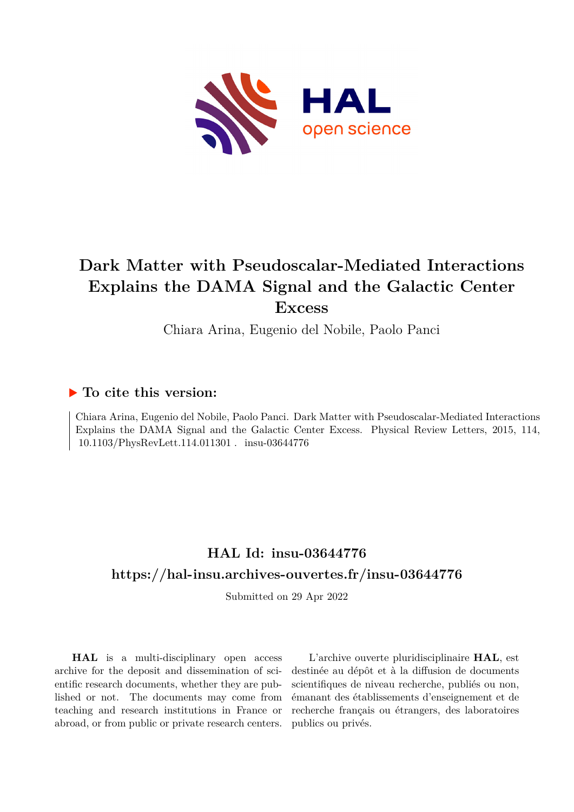

## **Dark Matter with Pseudoscalar-Mediated Interactions Explains the DAMA Signal and the Galactic Center Excess**

Chiara Arina, Eugenio del Nobile, Paolo Panci

## **To cite this version:**

Chiara Arina, Eugenio del Nobile, Paolo Panci. Dark Matter with Pseudoscalar-Mediated Interactions Explains the DAMA Signal and the Galactic Center Excess. Physical Review Letters, 2015, 114, 10.1103/PhysRevLett.114.011301 . insu-03644776

## **HAL Id: insu-03644776 <https://hal-insu.archives-ouvertes.fr/insu-03644776>**

Submitted on 29 Apr 2022

**HAL** is a multi-disciplinary open access archive for the deposit and dissemination of scientific research documents, whether they are published or not. The documents may come from teaching and research institutions in France or abroad, or from public or private research centers.

L'archive ouverte pluridisciplinaire **HAL**, est destinée au dépôt et à la diffusion de documents scientifiques de niveau recherche, publiés ou non, émanant des établissements d'enseignement et de recherche français ou étrangers, des laboratoires publics ou privés.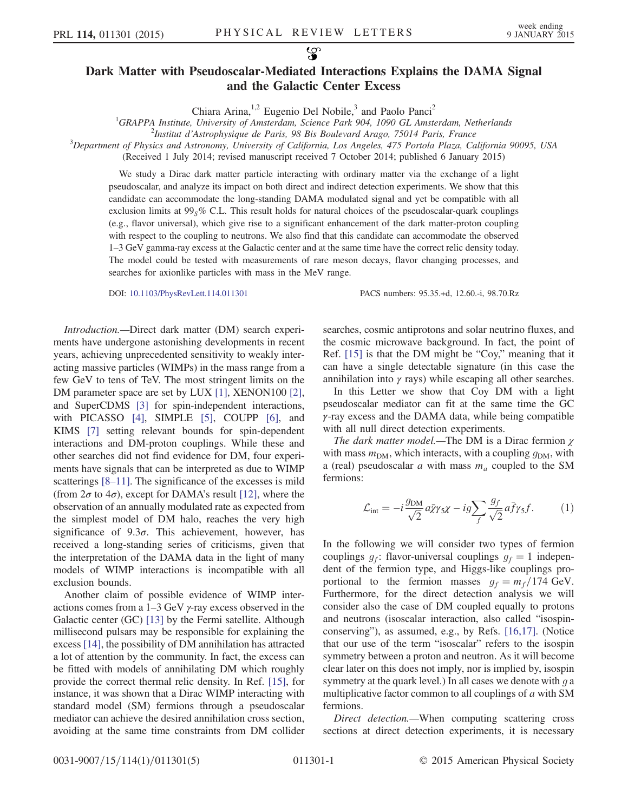## Dark Matter with Pseudoscalar-Mediated Interactions Explains the DAMA Signal and the Galactic Center Excess

Chiara Arina,<sup>1,2</sup> Eugenio Del Nobile,<sup>3</sup> and Paolo Panci<sup>2</sup>

<sup>1</sup>GRAPPA Institute, University of Amsterdam, Science Park 904, 1090 GL Amsterdam, Netherlands<br><sup>2</sup>Institut d'Astrophysique de Paris, 08 Pis Poulevard Argeo, 75014 Paris, France

<sup>2</sup>Institut d'Astrophysique de Paris, 98 Bis Boulevard Arago, 75014 Paris, France

 $3$ Department of Physics and Astronomy, University of California, Los Angeles, 475 Portola Plaza, California 90095, USA

(Received 1 July 2014; revised manuscript received 7 October 2014; published 6 January 2015)

We study a Dirac dark matter particle interacting with ordinary matter via the exchange of a light pseudoscalar, and analyze its impact on both direct and indirect detection experiments. We show that this candidate can accommodate the long-standing DAMA modulated signal and yet be compatible with all exclusion limits at  $99_5\%$  C.L. This result holds for natural choices of the pseudoscalar-quark couplings (e.g., flavor universal), which give rise to a significant enhancement of the dark matter-proton coupling with respect to the coupling to neutrons. We also find that this candidate can accommodate the observed 1–3 GeV gamma-ray excess at the Galactic center and at the same time have the correct relic density today. The model could be tested with measurements of rare meson decays, flavor changing processes, and searches for axionlike particles with mass in the MeV range.

DOI: [10.1103/PhysRevLett.114.011301](http://dx.doi.org/10.1103/PhysRevLett.114.011301) PACS numbers: 95.35.+d, 12.60.-i, 98.70.Rz

Introduction.—Direct dark matter (DM) search experiments have undergone astonishing developments in recent years, achieving unprecedented sensitivity to weakly interacting massive particles (WIMPs) in the mass range from a few GeV to tens of TeV. The most stringent limits on the DM parameter space are set by LUX [1], XENON100 [2], and SuperCDMS [3] for spin-independent interactions, with PICASSO [4], SIMPLE [5], COUPP [6], and KIMS [7] setting relevant bounds for spin-dependent interactions and DM-proton couplings. While these and other searches did not find evidence for DM, four experiments have signals that can be interpreted as due to WIMP scatterings [8–11]. The significance of the excesses is mild (from  $2\sigma$  to  $4\sigma$ ), except for DAMA's result [12], where the observation of an annually modulated rate as expected from the simplest model of DM halo, reaches the very high significance of  $9.3\sigma$ . This achievement, however, has received a long-standing series of criticisms, given that the interpretation of the DAMA data in the light of many models of WIMP interactions is incompatible with all exclusion bounds.

Another claim of possible evidence of WIMP interactions comes from a  $1-3$  GeV  $\gamma$ -ray excess observed in the Galactic center (GC) [13] by the Fermi satellite. Although millisecond pulsars may be responsible for explaining the excess [14], the possibility of DM annihilation has attracted a lot of attention by the community. In fact, the excess can be fitted with models of annihilating DM which roughly provide the correct thermal relic density. In Ref. [15], for instance, it was shown that a Dirac WIMP interacting with standard model (SM) fermions through a pseudoscalar mediator can achieve the desired annihilation cross section, avoiding at the same time constraints from DM collider searches, cosmic antiprotons and solar neutrino fluxes, and the cosmic microwave background. In fact, the point of Ref. [15] is that the DM might be "Coy," meaning that it can have a single detectable signature (in this case the annihilation into  $\gamma$  rays) while escaping all other searches.

In this Letter we show that Coy DM with a light pseudoscalar mediator can fit at the same time the GC γ-ray excess and the DAMA data, while being compatible with all null direct detection experiments.

The dark matter model.—The DM is a Dirac fermion  $\gamma$ with mass  $m<sub>DM</sub>$ , which interacts, with a coupling  $g<sub>DM</sub>$ , with a (real) pseudoscalar  $a$  with mass  $m_a$  coupled to the SM fermions:

$$
\mathcal{L}_{\text{int}} = -i \frac{g_{\text{DM}}}{\sqrt{2}} a \bar{\chi} \gamma_5 \chi - ig \sum_f \frac{g_f}{\sqrt{2}} a \bar{f} \gamma_5 f. \tag{1}
$$

In the following we will consider two types of fermion couplings  $q_f$ : flavor-universal couplings  $q_f = 1$  independent of the fermion type, and Higgs-like couplings proportional to the fermion masses  $g_f = m_f/174$  GeV. Furthermore, for the direct detection analysis we will consider also the case of DM coupled equally to protons and neutrons (isoscalar interaction, also called "isospinconserving"), as assumed, e.g., by Refs. [16,17]. (Notice that our use of the term "isoscalar" refers to the isospin symmetry between a proton and neutron. As it will become clear later on this does not imply, nor is implied by, isospin symmetry at the quark level.) In all cases we denote with  $q$  a multiplicative factor common to all couplings of a with SM fermions.

Direct detection.—When computing scattering cross sections at direct detection experiments, it is necessary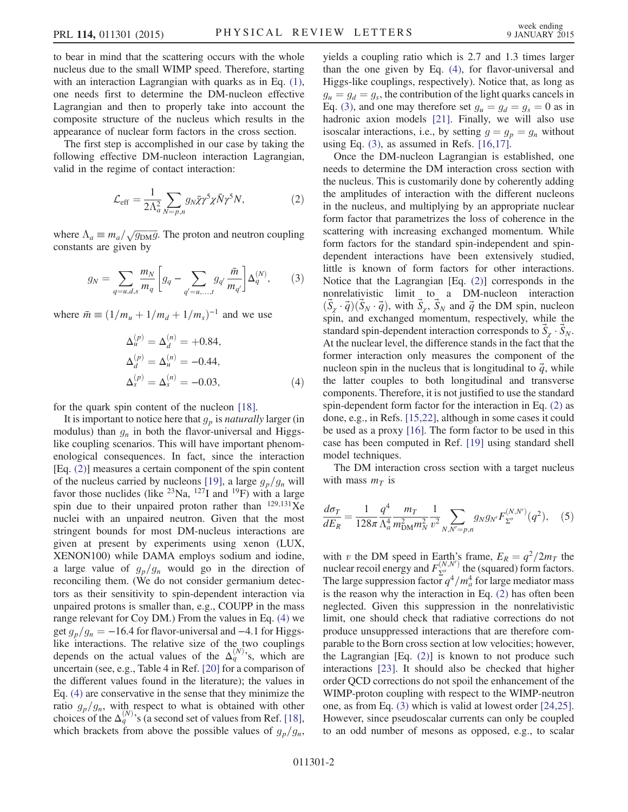to bear in mind that the scattering occurs with the whole nucleus due to the small WIMP speed. Therefore, starting with an interaction Lagrangian with quarks as in Eq.  $(1)$ , one needs first to determine the DM-nucleon effective Lagrangian and then to properly take into account the composite structure of the nucleus which results in the appearance of nuclear form factors in the cross section.

The first step is accomplished in our case by taking the following effective DM-nucleon interaction Lagrangian, valid in the regime of contact interaction:

$$
\mathcal{L}_{\text{eff}} = \frac{1}{2\Lambda_a^2} \sum_{N=p,n} g_N \bar{\chi} \gamma^5 \chi \bar{N} \gamma^5 N, \tag{2}
$$

where  $\Lambda_a \equiv m_a / \sqrt{g_{\rm DM} g}$ . The proton and neutron coupling constants are given by

$$
g_N = \sum_{q=u,d,s} \frac{m_N}{m_q} \left[ g_q - \sum_{q'=u,\dots,t} g_{q'} \frac{\bar{m}}{m_{q'}} \right] \Delta_q^{(N)},\tag{3}
$$

where  $\bar{m} \equiv (1/m_u + 1/m_d + 1/m_s)^{-1}$  and we use

$$
\Delta_u^{(p)} = \Delta_d^{(n)} = +0.84,
$$
  
\n
$$
\Delta_d^{(p)} = \Delta_u^{(n)} = -0.44,
$$
  
\n
$$
\Delta_s^{(p)} = \Delta_s^{(n)} = -0.03,
$$
\n(4)

for the quark spin content of the nucleon [18].

It is important to notice here that  $g_p$  is *naturally* larger (in modulus) than  $g_n$  in both the flavor-universal and Higgslike coupling scenarios. This will have important phenomenological consequences. In fact, since the interaction [Eq. (2)] measures a certain component of the spin content of the nucleus carried by nucleons [19], a large  $g_p/g_n$  will favor those nuclides (like  $^{23}$ Na,  $^{127}$ I and  $^{19}$ F) with a large spin due to their unpaired proton rather than  $^{129,131}Xe$ nuclei with an unpaired neutron. Given that the most stringent bounds for most DM-nucleus interactions are given at present by experiments using xenon (LUX, XENON100) while DAMA employs sodium and iodine, a large value of  $g_p/g_n$  would go in the direction of reconciling them. (We do not consider germanium detectors as their sensitivity to spin-dependent interaction via unpaired protons is smaller than, e.g., COUPP in the mass range relevant for Coy DM.) From the values in Eq. (4) we get  $g_p/g_n = -16.4$  for flavor-universal and  $-4.1$  for Higgslike interactions. The relative size of the two couplings depends on the actual values of the  $\Delta_q^{(N)}$ 's, which are uncertain (see, e.g., Table 4 in Ref. [20] for a comparison of the different values found in the literature); the values in Eq. (4) are conservative in the sense that they minimize the ratio  $g_p/g_n$ , with respect to what is obtained with other choices of the  $\Delta_q^{(N)}$ 's (a second set of values from Ref. [18], which brackets from above the possible values of  $g_p/g_n$ , yields a coupling ratio which is 2.7 and 1.3 times larger than the one given by Eq. (4), for flavor-universal and Higgs-like couplings, respectively). Notice that, as long as  $g_u = g_d = g_s$ , the contribution of the light quarks cancels in Eq. (3), and one may therefore set  $g_u = g_d = g_s = 0$  as in hadronic axion models [21]. Finally, we will also use isoscalar interactions, i.e., by setting  $g = g_p = g_n$  without using Eq.  $(3)$ , as assumed in Refs.  $[16,17]$ .

Once the DM-nucleon Lagrangian is established, one needs to determine the DM interaction cross section with the nucleus. This is customarily done by coherently adding the amplitudes of interaction with the different nucleons in the nucleus, and multiplying by an appropriate nuclear form factor that parametrizes the loss of coherence in the scattering with increasing exchanged momentum. While form factors for the standard spin-independent and spindependent interactions have been extensively studied, little is known of form factors for other interactions. Notice that the Lagrangian [Eq. (2)] corresponds in the nonrelativistic limit to a DM-nucleon interaction  $(S_{\gamma} \cdot \vec{q}) (S_N \cdot \vec{q})$ , with  $S_{\gamma}$ ,  $S_N$  and  $\vec{q}$  the DM spin, nucleon spin, and exchanged momentum, respectively, while the standard spin-dependent interaction corresponds to  $S_\gamma \cdot S_N$ . At the nuclear level, the difference stands in the fact that the former interaction only measures the component of the nucleon spin in the nucleus that is longitudinal to  $\vec{q}$ , while the latter couples to both longitudinal and transverse components. Therefore, it is not justified to use the standard spin-dependent form factor for the interaction in Eq. (2) as done, e.g., in Refs. [15,22], although in some cases it could be used as a proxy [16]. The form factor to be used in this case has been computed in Ref. [19] using standard shell model techniques.

The DM interaction cross section with a target nucleus with mass  $m<sub>T</sub>$  is

$$
\frac{d\sigma_T}{dE_R} = \frac{1}{128\pi} \frac{q^4}{\Lambda_d^4} \frac{m_T}{m_{\text{DM}}^2 m_N^2} \frac{1}{v^2} \sum_{N,N'=p,n} g_N g_{N'} F_{\Sigma''}^{(N,N')} (q^2), \quad (5)
$$

with v the DM speed in Earth's frame,  $E_R = \frac{q^2}{2m}$  the nuclear recoil energy and  $F_{\Sigma''}^{(N,N')}$  the (squared) form factors. The large suppression factor  $q^4/m_a^4$  for large mediator mass is the reason why the interaction in Eq. (2) has often been neglected. Given this suppression in the nonrelativistic limit, one should check that radiative corrections do not produce unsuppressed interactions that are therefore comparable to the Born cross section at low velocities; however, the Lagrangian [Eq. (2)] is known to not produce such interactions [23]. It should also be checked that higher order QCD corrections do not spoil the enhancement of the WIMP-proton coupling with respect to the WIMP-neutron one, as from Eq. (3) which is valid at lowest order [24,25]. However, since pseudoscalar currents can only be coupled to an odd number of mesons as opposed, e.g., to scalar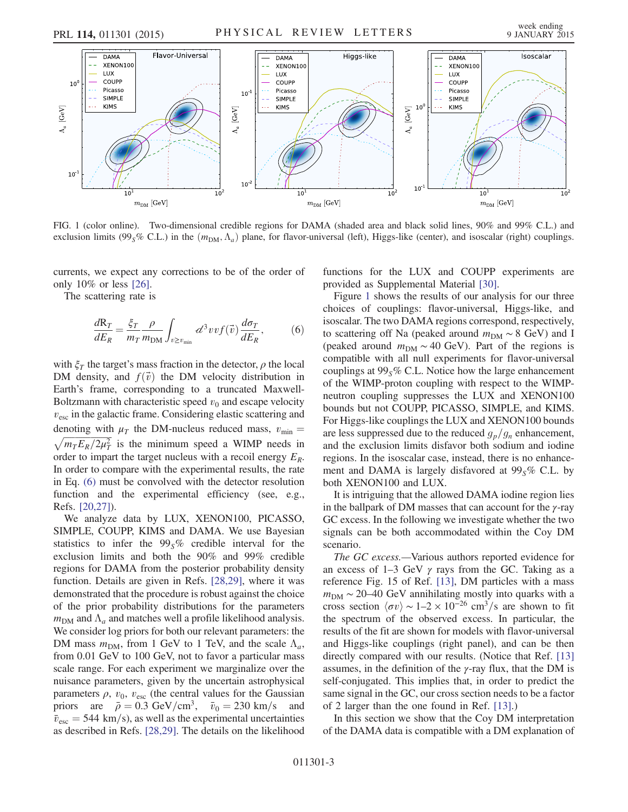

FIG. 1 (color online). Two-dimensional credible regions for DAMA (shaded area and black solid lines, 90% and 99% C.L.) and exclusion limits (99<sub>S</sub>% C.L.) in the  $(m<sub>DM</sub>, \Lambda<sub>a</sub>)$  plane, for flavor-universal (left), Higgs-like (center), and isoscalar (right) couplings.

currents, we expect any corrections to be of the order of only 10% or less [26].

The scattering rate is

$$
\frac{dR_T}{dE_R} = \frac{\xi_T}{m_T} \frac{\rho}{m_{\text{DM}}} \int_{v \ge v_{\text{min}}} d^3 v v f(\vec{v}) \frac{d\sigma_T}{dE_R},\tag{6}
$$

with  $\xi_T$  the target's mass fraction in the detector,  $\rho$  the local DM density, and  $f(\vec{v})$  the DM velocity distribution in Earth's frame, corresponding to a truncated Maxwell-Boltzmann with characteristic speed  $v_0$  and escape velocity  $v_{\text{esc}}$  in the galactic frame. Considering elastic scattering and denoting with  $\mu_T$  the DM-nucleus reduced mass,  $v_{\text{min}} =$  $\sqrt{m_T E_R/2\mu_T^2}$  is the minimum speed a WIMP needs in order to impart the target nucleus with a recoil energy  $E_R$ . In order to compare with the experimental results, the rate in Eq. (6) must be convolved with the detector resolution function and the experimental efficiency (see, e.g., Refs. [20,27]).

We analyze data by LUX, XENON100, PICASSO, SIMPLE, COUPP, KIMS and DAMA. We use Bayesian statistics to infer the  $99<sub>s</sub>%$  credible interval for the exclusion limits and both the 90% and 99% credible regions for DAMA from the posterior probability density function. Details are given in Refs. [28,29], where it was demonstrated that the procedure is robust against the choice of the prior probability distributions for the parameters  $m_{\text{DM}}$  and  $\Lambda_a$  and matches well a profile likelihood analysis. We consider log priors for both our relevant parameters: the DM mass  $m_{\text{DM}}$ , from 1 GeV to 1 TeV, and the scale  $\Lambda_a$ , from 0.01 GeV to 100 GeV, not to favor a particular mass scale range. For each experiment we marginalize over the nuisance parameters, given by the uncertain astrophysical parameters  $\rho$ ,  $v_0$ ,  $v_{\text{esc}}$  (the central values for the Gaussian priors are  $\bar{\rho} = 0.3 \text{ GeV/cm}^3$ ,  $\bar{v}_0 = 230 \text{ km/s}$  and  $\bar{v}_{\rm esc}$  = 544 km/s), as well as the experimental uncertainties as described in Refs. [28,29]. The details on the likelihood functions for the LUX and COUPP experiments are provided as Supplemental Material [30].

Figure 1 shows the results of our analysis for our three choices of couplings: flavor-universal, Higgs-like, and isoscalar. The two DAMA regions correspond, respectively, to scattering off Na (peaked around  $m<sub>DM</sub> \sim 8$  GeV) and I (peaked around  $m_{DM} \sim 40$  GeV). Part of the regions is compatible with all null experiments for flavor-universal couplings at  $99<sub>S</sub>%$  C.L. Notice how the large enhancement of the WIMP-proton coupling with respect to the WIMPneutron coupling suppresses the LUX and XENON100 bounds but not COUPP, PICASSO, SIMPLE, and KIMS. For Higgs-like couplings the LUX and XENON100 bounds are less suppressed due to the reduced  $g_p/g_n$  enhancement, and the exclusion limits disfavor both sodium and iodine regions. In the isoscalar case, instead, there is no enhancement and DAMA is largely disfavored at  $99<sub>S</sub>%$  C.L. by both XENON100 and LUX.

It is intriguing that the allowed DAMA iodine region lies in the ballpark of DM masses that can account for the  $\gamma$ -ray GC excess. In the following we investigate whether the two signals can be both accommodated within the Coy DM scenario.

The GC excess.—Various authors reported evidence for an excess of  $1-3$  GeV  $\gamma$  rays from the GC. Taking as a reference Fig. 15 of Ref. [13], DM particles with a mass  $m_{\text{DM}} \sim 20-40 \text{ GeV}$  annihilating mostly into quarks with a cross section  $\langle \sigma v \rangle \sim 1 - 2 \times 10^{-26}$  cm<sup>3</sup>/s are shown to fit the spectrum of the observed excess. In particular, the results of the fit are shown for models with flavor-universal and Higgs-like couplings (right panel), and can be then directly compared with our results. (Notice that Ref. [13] assumes, in the definition of the  $\gamma$ -ray flux, that the DM is self-conjugated. This implies that, in order to predict the same signal in the GC, our cross section needs to be a factor of 2 larger than the one found in Ref. [13].)

In this section we show that the Coy DM interpretation of the DAMA data is compatible with a DM explanation of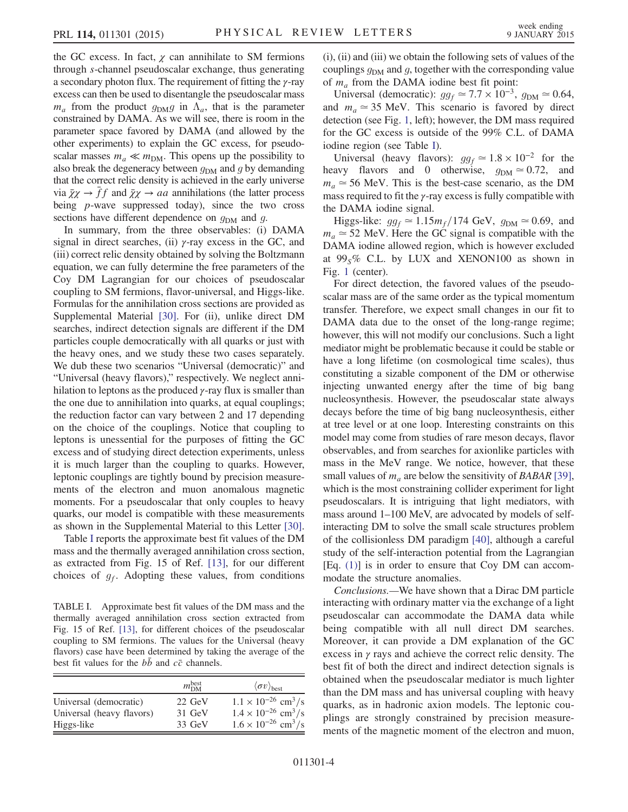the GC excess. In fact,  $\chi$  can annihilate to SM fermions through s-channel pseudoscalar exchange, thus generating a secondary photon flux. The requirement of fitting the  $\gamma$ -ray excess can then be used to disentangle the pseudoscalar mass  $m_a$  from the product  $g_{\text{DM}}g$  in  $\Lambda_a$ , that is the parameter constrained by DAMA. As we will see, there is room in the parameter space favored by DAMA (and allowed by the other experiments) to explain the GC excess, for pseudoscalar masses  $m_a \ll m_{\text{DM}}$ . This opens up the possibility to also break the degeneracy between  $g_{DM}$  and g by demanding that the correct relic density is achieved in the early universe via  $\bar{\chi}\chi \to \bar{f}f$  and  $\bar{\chi}\chi \to aa$  annihilations (the latter process being *p*-wave suppressed today), since the two cross sections have different dependence on  $g_{DM}$  and  $g$ .

In summary, from the three observables: (i) DAMA signal in direct searches, (ii)  $\gamma$ -ray excess in the GC, and (iii) correct relic density obtained by solving the Boltzmann equation, we can fully determine the free parameters of the Coy DM Lagrangian for our choices of pseudoscalar coupling to SM fermions, flavor-universal, and Higgs-like. Formulas for the annihilation cross sections are provided as Supplemental Material [30]. For (ii), unlike direct DM searches, indirect detection signals are different if the DM particles couple democratically with all quarks or just with the heavy ones, and we study these two cases separately. We dub these two scenarios "Universal (democratic)" and "Universal (heavy flavors)," respectively. We neglect annihilation to leptons as the produced  $\gamma$ -ray flux is smaller than the one due to annihilation into quarks, at equal couplings; the reduction factor can vary between 2 and 17 depending on the choice of the couplings. Notice that coupling to leptons is unessential for the purposes of fitting the GC excess and of studying direct detection experiments, unless it is much larger than the coupling to quarks. However, leptonic couplings are tightly bound by precision measurements of the electron and muon anomalous magnetic moments. For a pseudoscalar that only couples to heavy quarks, our model is compatible with these measurements as shown in the Supplemental Material to this Letter [30].

Table I reports the approximate best fit values of the DM mass and the thermally averaged annihilation cross section, as extracted from Fig. 15 of Ref. [13], for our different choices of  $g_f$ . Adopting these values, from conditions

TABLE I. Approximate best fit values of the DM mass and the thermally averaged annihilation cross section extracted from Fig. 15 of Ref. [13], for different choices of the pseudoscalar coupling to SM fermions. The values for the Universal (heavy flavors) case have been determined by taking the average of the best fit values for the  $b\bar{b}$  and  $c\bar{c}$  channels.

|                           | $m_{\rm DM}^{\rm best}$ | $\langle \sigma v \rangle$ <sub>best</sub> |
|---------------------------|-------------------------|--------------------------------------------|
| Universal (democratic)    | 22 GeV                  | $1.1 \times 10^{-26}$ cm <sup>3</sup> /s   |
| Universal (heavy flavors) | 31 GeV                  | $1.4 \times 10^{-26}$ cm <sup>3</sup> /s   |
| Higgs-like                | $33 \text{ GeV}$        | $1.6 \times 10^{-26}$ cm <sup>3</sup> /s   |

(i), (ii) and (iii) we obtain the following sets of values of the couplings  $g_{DM}$  and g, together with the corresponding value of  $m_a$  from the DAMA iodine best fit point:

Universal (democratic):  $gg_f \approx 7.7 \times 10^{-3}$ ,  $g_{DM} \approx 0.64$ , and  $m_a \approx 35$  MeV. This scenario is favored by direct detection (see Fig. 1, left); however, the DM mass required for the GC excess is outside of the 99% C.L. of DAMA iodine region (see Table I).

Universal (heavy flavors):  $gg_f \approx 1.8 \times 10^{-2}$  for the heavy flavors and 0 otherwise,  $g_{DM} \approx 0.72$ , and  $m_a \approx 56$  MeV. This is the best-case scenario, as the DM mass required to fit the  $\gamma$ -ray excess is fully compatible with the DAMA iodine signal.

Higgs-like:  $gg_f \approx 1.15 m_f/174 \text{ GeV}, g_{DM} \approx 0.69$ , and  $m_a \approx 52$  MeV. Here the GC signal is compatible with the DAMA iodine allowed region, which is however excluded at  $99<sub>S</sub>%$  C.L. by LUX and XENON100 as shown in Fig. 1 (center).

For direct detection, the favored values of the pseudoscalar mass are of the same order as the typical momentum transfer. Therefore, we expect small changes in our fit to DAMA data due to the onset of the long-range regime; however, this will not modify our conclusions. Such a light mediator might be problematic because it could be stable or have a long lifetime (on cosmological time scales), thus constituting a sizable component of the DM or otherwise injecting unwanted energy after the time of big bang nucleosynthesis. However, the pseudoscalar state always decays before the time of big bang nucleosynthesis, either at tree level or at one loop. Interesting constraints on this model may come from studies of rare meson decays, flavor observables, and from searches for axionlike particles with mass in the MeV range. We notice, however, that these small values of  $m_a$  are below the sensitivity of BABAR [39], which is the most constraining collider experiment for light pseudoscalars. It is intriguing that light mediators, with mass around 1–100 MeV, are advocated by models of selfinteracting DM to solve the small scale structures problem of the collisionless DM paradigm [40], although a careful study of the self-interaction potential from the Lagrangian  $[Eq. (1)]$  is in order to ensure that Coy DM can accommodate the structure anomalies.

Conclusions.—We have shown that a Dirac DM particle interacting with ordinary matter via the exchange of a light pseudoscalar can accommodate the DAMA data while being compatible with all null direct DM searches. Moreover, it can provide a DM explanation of the GC excess in  $\gamma$  rays and achieve the correct relic density. The best fit of both the direct and indirect detection signals is obtained when the pseudoscalar mediator is much lighter than the DM mass and has universal coupling with heavy quarks, as in hadronic axion models. The leptonic couplings are strongly constrained by precision measurements of the magnetic moment of the electron and muon,